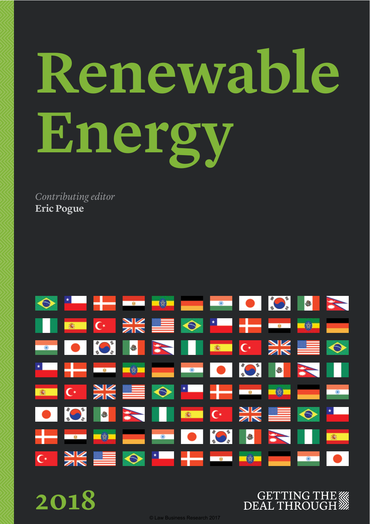# **Renewable Energy**

*Contributing editor* **Eric Pogue**



**2018**

### **GETTING THE WAS DEAL THROUGH**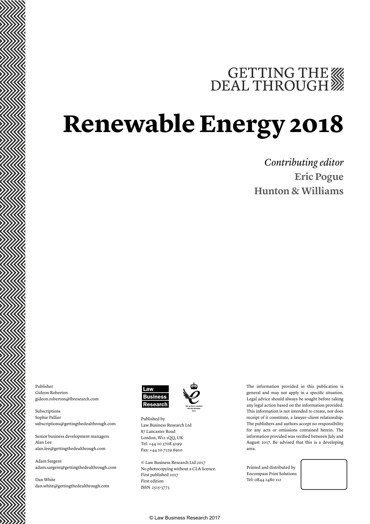# GETTING THE WE DEAL THROUGH

## **Renewable Energy 2018**

*Contributing editor* **Eric Pogue Hunton & Williams**

Publisher Gideon Roberton gideon.roberton@lbresearch.com

Subscriptions Sophie Pallier subscriptions@gettingthedealthrough.com

Senior business development managers Alan Lee alan.lee@gettingthedealthrough.com

Adam Sargent adam.sargent@gettingthedealthrough.com

Dan White dan.white@gettingthedealthrough.com



Published by Law Business Research Ltd 87 Lancaster Road London, W11 1QQ, UK Tel: +44 20 3708 4199 Fax: +44 20 7229 6910

© Law Business Research Ltd 2017 No photocopying without a CLA licence. First published 2017 First edition ISSN 2515-3773

The information provided in this publication is general and may not apply in a specifc situation. Legal advice should always be sought before taking any legal action based on the information provided. This information is not intended to create, nor does receipt of it constitute, a lawyer–client relationship. The publishers and authors accept no responsibility for any acts or omissions contained herein. The information provided was verifed between July and August 2017. Be advised that this is a developing area.

Printed and distributed by Encompass Print Solutions Tel: 0844 2480 112



© Law Business Research 2017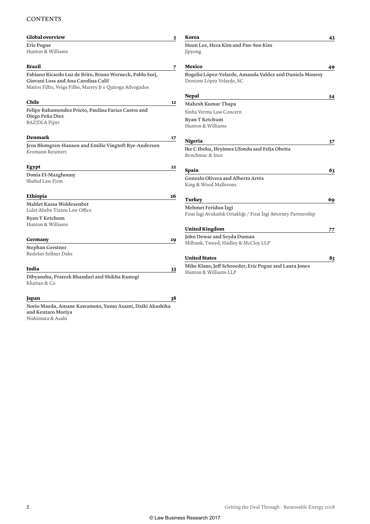#### **CONTENTS**

| <b>Global overview</b>                                                                                                                                      | 5  | Korea                                                                                   | 43 |
|-------------------------------------------------------------------------------------------------------------------------------------------------------------|----|-----------------------------------------------------------------------------------------|----|
| Eric Pogue<br>Hunton & Williams                                                                                                                             |    | Hoon Lee, Hera Kim and Pan-Soo Kim<br>Jipyong                                           |    |
| Brazil                                                                                                                                                      | 7  | Mexico                                                                                  | 49 |
| Fabiano Ricardo Luz de Brito, Bruno Werneck, Pablo Sorj,<br>Giovani Loss and Ana Carolina Calil<br>Mattos Filho, Veiga Filho, Marrey Jr e Quiroga Advogados |    | Rogelio López-Velarde, Amanda Valdez and Daniela Monroy<br>Dentons López Velarde, SC    |    |
|                                                                                                                                                             |    | <b>Nepal</b>                                                                            | 54 |
| Chile                                                                                                                                                       | 12 | <b>Mahesh Kumar Thapa</b>                                                               |    |
| Felipe Bahamondez Prieto, Paulina Farías Castro and                                                                                                         |    | Sinha Verma Law Concern                                                                 |    |
| Diego Peña Diez<br><b>BAZ</b>  DLA Piper                                                                                                                    |    | <b>Ryan T Ketchum</b><br>Hunton & Williams                                              |    |
| <b>Denmark</b>                                                                                                                                              | 17 | Nigeria                                                                                 | 57 |
| Jens Blomgren-Hansen and Emilie Vingtoft Rye-Andersen<br>Kromann Reumert                                                                                    |    | Ike C Ibeku, Ifeyinwa Ufondu and Felix Obetta<br>Benchmac & Ince                        |    |
| Egypt                                                                                                                                                       | 22 |                                                                                         |    |
| Donia El-Mazghouny<br>Shahid Law Firm                                                                                                                       |    | Spain<br><b>Gonzalo Olivera and Alberto Artés</b><br>King & Wood Mallesons              | 63 |
| <b>Ethiopia</b>                                                                                                                                             | 26 | Turkey                                                                                  | 69 |
| Mahlet Kassa Woldesenbet<br>Lidet Abebe Tizazu Law Office<br><b>Ryan T Ketchum</b>                                                                          |    | Mehmet Feridun İzgi<br>Fırat İzgi Avukatlık Ortaklığı / Fırat İzgi Attorney Partnership |    |
| Hunton & Williams                                                                                                                                           |    | <b>United Kingdom</b>                                                                   | 77 |
|                                                                                                                                                             |    | John Dewar and Seyda Duman                                                              |    |
| Germany                                                                                                                                                     | 29 | Milbank, Tweed, Hadley & McCloy LLP                                                     |    |
| <b>Stephan Gerstner</b><br>Redeker Sellner Dahs                                                                                                             |    | <b>United States</b>                                                                    | 83 |
|                                                                                                                                                             |    | Mike Klaus, Jeff Schroeder, Eric Pogue and Laura Jones                                  |    |
| India<br>Dibyanshu, Prateek Bhandari and Shikha Rastogi<br>Khaitan & Co                                                                                     | 33 | Hunton & Williams LLP                                                                   |    |
| Japan                                                                                                                                                       | 38 |                                                                                         |    |
| Norio Maeda, Amane Kawamoto, Yasuo Asami, Daiki Akashika<br>and Kentaro Moriya<br>Nishimura & Asahi                                                         |    |                                                                                         |    |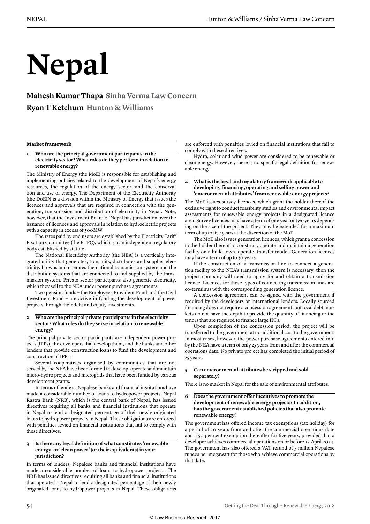# **Nepal**

**Mahesh Kumar Thapa Sinha Verma Law Concern Ryan T Ketchum Hunton & Williams**

#### **Market framework**

#### **1 Who are the principal government participants in the electricity sector? What roles do they perform in relation to renewable energy?**

The Ministry of Energy (the MoE) is responsible for establishing and implementing policies related to the development of Nepal's energy resources, the regulation of the energy sector, and the conservation and use of energy. The Department of the Electricity Authority (the DoED) is a division within the Ministry of Energy that issues the licences and approvals that are required in connection with the generation, transmission and distribution of electricity in Nepal. Note, however, that the Investment Board of Nepal has jurisdiction over the issuance of licences and approvals in relation to hydroelectric projects with a capacity in excess of 500MW.

The rates paid by end users are established by the Electricity Tarif Fixation Committee (the ETFC), which is a an independent regulatory body established by statute.

The National Electricity Authority (the NEA) is a vertically integrated utility that generates, transmits, distributes and supplies electricity. It owns and operates the national transmission system and the distribution systems that are connected to and supplied by the transmission system. Private sector participants also generate electricity, which they sell to the NEA under power purchase agreements.

Two pension funds – the Employees Provident Fund and the Civil Investment Fund – are active in funding the development of power projects through their debt and equity investments.

#### **2 Who are the principal private participants in the electricity sector? What roles do they serve in relation to renewable energy?**

The principal private sector participants are independent power projects (IPPs), the developers that develop them, and the banks and other lenders that provide construction loans to fund the development and construction of IPPs.

Several cooperatives organised by communities that are not served by the NEA have been formed to develop, operate and maintain micro-hydro projects and microgrids that have been funded by various development grants.

In terms of lenders, Nepalese banks and fnancial institutions have made a considerable number of loans to hydropower projects. Nepal Rastra Bank (NRB), which is the central bank of Nepal, has issued directives requiring all banks and fnancial institutions that operate in Nepal to lend a designated percentage of their newly originated loans to hydropower projects in Nepal. These obligations are enforced with penalties levied on fnancial institutions that fail to comply with these directives.

#### **3 Is there any legal definition of what constitutes 'renewable energy' or 'clean power' (or their equivalents) in your jurisdiction?**

In terms of lenders, Nepalese banks and fnancial institutions have made a considerable number of loans to hydropower projects. The NRB has issued directives requiring all banks and fnancial institutions that operate in Nepal to lend a designated percentage of their newly originated loans to hydropower projects in Nepal. These obligations

are enforced with penalties levied on fnancial institutions that fail to comply with these directives.

Hydro, solar and wind power are considered to be renewable or clean energy. However, there is no specifc legal defnition for renewable energy.

#### **4 What is the legal and regulatory framework applicable to developing, financing, operating and selling power and 'environmental attributes' from renewable energy projects?**

The MoE issues survey licences, which grant the holder thereof the exclusive right to conduct feasibility studies and environmental impact assessments for renewable energy projects in a designated licence area. Survey licences may have a term of one year or two years depending on the size of the project. They may be extended for a maximum term of up to fve years at the discretion of the MoE.

The MoE also issues generation licences, which grant a concession to the holder thereof to construct, operate and maintain a generation facility on a build, own, operate, transfer model. Generation licences may have a term of up to 30 years.

If the construction of a transmission line to connect a generation facility to the NEA's transmission system is necessary, then the project company will need to apply for and obtain a transmission licence. Licences for these types of connecting transmission lines are co-terminus with the corresponding generation licence.

A concession agreement can be signed with the government if required by the developers or international lenders. Locally sourced fnancing does not require a concession agreement, but local debt markets do not have the depth to provide the quantity of fnancing or the tenors that are required to fnance large IPPs.

Upon completion of the concession period, the project will be transferred to the government at no additional cost to the government. In most cases, however, the power purchase agreements entered into by the NEA have a term of only 25 years from and after the commercial operations date. No private project has completed the initial period of 25 years.

#### **5 Can environmental attributes be stripped and sold separately?**

There is no market in Nepal for the sale of environmental attributes.

#### **6 Does the government offer incentives to promote the development of renewable energy projects? In addition, has the government established policies that also promote renewable energy?**

The government has offered income tax exemptions (tax holiday) for a period of 10 years from and after the commercial operations date and a 50 per cent exemption thereafter for fve years, provided that a developer achieves commercial operations on or before 12 April 2024. The government has also offered a VAT refund of 5 million Nepalese rupees per megawatt for those who achieve commercial operations by that date.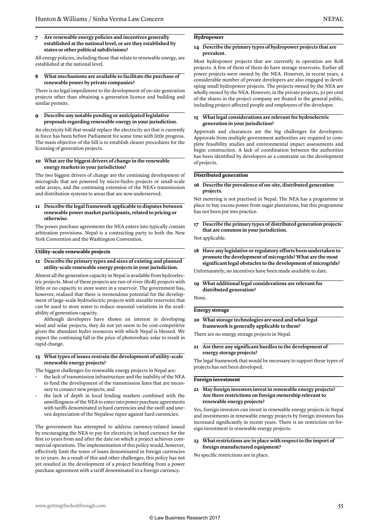#### **7 Are renewable energy policies and incentives generally established at the national level, or are they established by states or other political subdivisions?**

All energy policies, including those that relate to renewable energy, are established at the national level.

#### **8 What mechanisms are available to facilitate the purchase of renewable power by private companies?**

There is no legal impediment to the development of on-site generation projects other than obtaining a generation licence and building and similar permits.

#### **9 Describe any notable pending or anticipated legislative proposals regarding renewable energy in your jurisdiction.**

An electricity bill that would replace the electricity act that is currently in force has been before Parliament for some time with little progress. The main objective of the bill is to establish clearer procedures for the licensing of generation projects.

#### **10 What are the biggest drivers of change in the renewable energy markets in your jurisdiction?**

The two biggest drivers of change are the continuing development of microgrids that are powered by micro-hydro projects or small-scale solar arrays, and the continuing extension of the NEA's transmission and distribution systems to areas that are now underserved.

#### **11 Describe the legal framework applicable to disputes between renewable power market participants, related to pricing or otherwise.**

The power purchase agreements the NEA enters into typically contain arbitration provisions. Nepal is a contracting party to both the New York Convention and the Washington Convention.

#### **Utility-scale renewable projects**

#### **12 Describe the primary types and sizes of existing and planned utility-scale renewable energy projects in your jurisdiction.**

Almost all the generation capacity in Nepal is available from hydroelectric projects. Most of these projects are run-of-river (RoR) projects with little or no capacity to store water in a reservoir. The government has, however, realised that there is tremendous potential for the development of large-scale hydroelectric projects with sizeable reservoirs that can be used to store water to reduce seasonal variations in the availability of generation capacity.

Although developers have shown an interest in developing wind and solar projects, they do not yet seem to be cost-competitive given the abundant hydro resources with which Nepal is blessed. We expect the continuing fall in the price of photovoltaic solar to result in rapid change.

#### **13 What types of issues restrain the development of utility-scale renewable energy projects?**

The biggest challenges for renewable energy projects in Nepal are:

- the lack of transmission infrastructure and the inability of the NEA to fund the development of the transmission lines that are necessary to connect new projects; and
- the lack of depth in local lending markets combined with the unwillingness of the NEA to enter into power purchase agreements with tarifs denominated in hard currencies and the swift and uneven depreciation of the Nepalese rupee against hard currencies.

The government has attempted to address currency-related issued by encouraging the NEA to pay for electricity in hard currency for the frst 10 years from and after the date on which a project achieves commercial operations. The implementation of this policy would, however, efectively limit the tenor of loans denominated in foreign currencies to 10 years. As a result of this and other challenges, this policy has not yet resulted in the development of a project benefting from a power purchase agreement with a tarif denominated in a foreign currency.

#### **Hydropower**

#### **14 Describe the primary types of hydropower projects that are prevalent.**

Most hydropower projects that are currently in operation are RoR projects. A few of them of them do have storage reservoirs. Earlier all power projects were owned by the NEA. However, in recent years, a considerable number of private developers are also engaged in developing small hydropower projects. The projects owned by the NEA are wholly owned by the NEA. However, in the private projects, 30 per cent of the shares in the project company are foated to the general public, including project-afected people and employees of the developer.

#### **15 What legal considerations are relevant for hydroelectric generation in your jurisdiction?**

Approvals and clearances are the big challenges for developers. Approvals from multiple government authorities are required to complete feasibility studies and environmental impact assessments and begin construction. A lack of coordination between the authorities has been identifed by developers as a constraint on the development of projects.

#### **Distributed generation**

#### **16 Describe the prevalence of on-site, distributed generation projects.**

Net metering is not practised in Nepal. The NEA has a programme in place to buy excess power from sugar plantations, but this programme has not been put into practice.

**17 Describe the primary types of distributed generation projects that are common in your jurisdiction.**

Not applicable.

- **18 Have any legislative or regulatory efforts been undertaken to promote the development of microgrids? What are the most significant legal obstacles to the development of microgrids?**
- Unfortunately, no incentives have been made available to date.
- **19 What additional legal considerations are relevant for distributed generation?**

None.

#### **Energy storage**

**20 What storage technologies are used and what legal framework is generally applicable to them?**

There are no energy storage projects in Nepal.

**21 Are there any significant hurdles to the development of energy storage projects?**

The legal framework that would be necessary to support these types of projects has not been developed.

#### **Foreign investment**

**22 May foreign investors invest in renewable energy projects? Are there restrictions on foreign ownership relevant to renewable energy projects?**

Yes, foreign investors can invest in renewable energy projects in Nepal and investments in renewable energy projects by foreign investors has increased signifcantly in recent years. There is no restriction on foreign investment in renewable energy projects.

#### **23 What restrictions are in place with respect to the import of foreign manufactured equipment?**

No specifc restrictions are in place.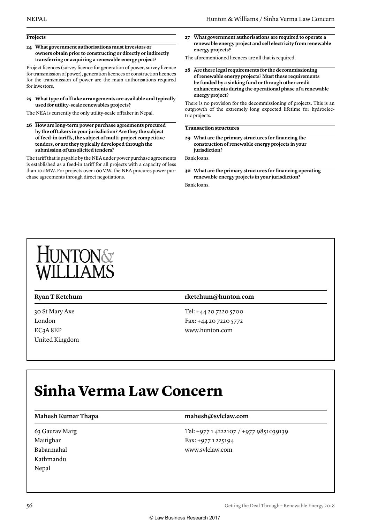#### **Projects**

**24 What government authorisations must investors or owners obtain prior to constructing or directly or indirectly transferring or acquiring a renewable energy project?**

Project licences (survey licence for generation of power, survey licence for transmission of power), generation licences or construction licences for the transmission of power are the main authorisations required for investors.

**25 What type of offtake arrangements are available and typically used for utility-scale renewables projects?**

The NEA is currently the only utility-scale oftaker in Nepal.

**26 How are long-term power purchase agreements procured by the offtakers in your jurisdiction? Are they the subject of feed-in tariffs, the subject of multi-project competitive tenders, or are they typically developed through the submission of unsolicited tenders?**

The tarif that is payable by the NEA under power purchase agreements is established as a feed-in tarif for all projects with a capacity of less than 100MW. For projects over 100MW, the NEA procures power purchase agreements through direct negotiations.

**27 What government authorisations are required to operate a renewable energy project and sell electricity from renewable energy projects?**

The aforementioned licences are all that is required.

**28 Are there legal requirements for the decommissioning of renewable energy projects? Must these requirements be funded by a sinking fund or through other credit enhancements during the operational phase of a renewable energy project?**

There is no provision for the decommissioning of projects. This is an outgrowth of the extremely long expected lifetime for hydroelectric projects.

**Transaction structures**

**29 What are the primary structures for financing the construction of renewable energy projects in your jurisdiction?**

Bank loans.

**30 What are the primary structures for financing operating renewable energy projects in your jurisdiction?**

Bank loans.

30 St Mary Axe London EC3A 8EP United Kingdom

#### **Ryan T Ketchum rketchum@hunton.com**

Tel: +44 20 7220 5700 Fax: +44 20 7220 5772 www.hunton.com

### **Sinha Verma Law Concern**

#### **Mahesh Kumar Thapa mahesh@svlclaw.com**

63 Gaurav Marg Maitighar Babarmahal Kathmandu Nepal

Tel: +977 1 4222107 / +977 9851039139 Fax: +977 1 225194 www.svlclaw.com